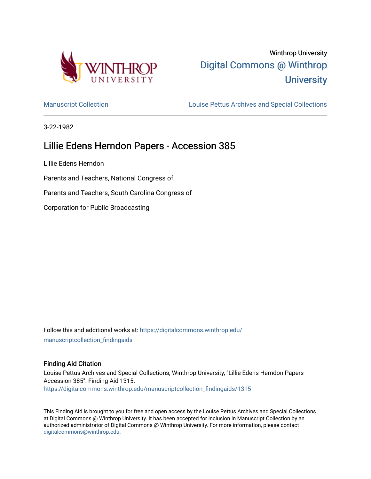

# Winthrop University [Digital Commons @ Winthrop](https://digitalcommons.winthrop.edu/)  **University**

[Manuscript Collection](https://digitalcommons.winthrop.edu/manuscriptcollection_findingaids) **Louise Pettus Archives and Special Collections** 

3-22-1982

## Lillie Edens Herndon Papers - Accession 385

Lillie Edens Herndon

Parents and Teachers, National Congress of

Parents and Teachers, South Carolina Congress of

Corporation for Public Broadcasting

Follow this and additional works at: [https://digitalcommons.winthrop.edu/](https://digitalcommons.winthrop.edu/manuscriptcollection_findingaids?utm_source=digitalcommons.winthrop.edu%2Fmanuscriptcollection_findingaids%2F1315&utm_medium=PDF&utm_campaign=PDFCoverPages) [manuscriptcollection\\_findingaids](https://digitalcommons.winthrop.edu/manuscriptcollection_findingaids?utm_source=digitalcommons.winthrop.edu%2Fmanuscriptcollection_findingaids%2F1315&utm_medium=PDF&utm_campaign=PDFCoverPages) 

#### Finding Aid Citation

Louise Pettus Archives and Special Collections, Winthrop University, "Lillie Edens Herndon Papers - Accession 385". Finding Aid 1315. [https://digitalcommons.winthrop.edu/manuscriptcollection\\_findingaids/1315](https://digitalcommons.winthrop.edu/manuscriptcollection_findingaids/1315?utm_source=digitalcommons.winthrop.edu%2Fmanuscriptcollection_findingaids%2F1315&utm_medium=PDF&utm_campaign=PDFCoverPages) 

This Finding Aid is brought to you for free and open access by the Louise Pettus Archives and Special Collections at Digital Commons @ Winthrop University. It has been accepted for inclusion in Manuscript Collection by an authorized administrator of Digital Commons @ Winthrop University. For more information, please contact [digitalcommons@winthrop.edu](mailto:digitalcommons@winthrop.edu).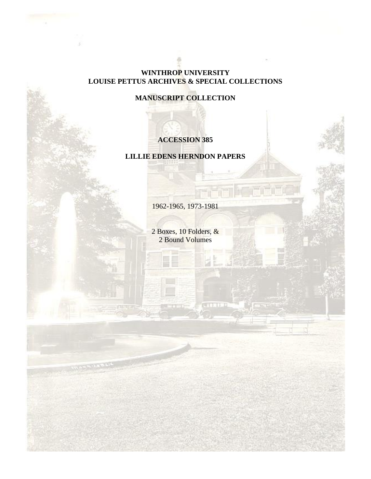#### **WINTHROP UNIVERSITY LOUISE PETTUS ARCHIVES & SPECIAL COLLECTIONS**

**MANUSCRIPT COLLECTION**

### **ACCESSION 385**

### **LILLIE EDENS HERNDON PAPERS**

1962-1965, 1973-1981

2 Boxes, 10 Folders, & 2 Bound Volumes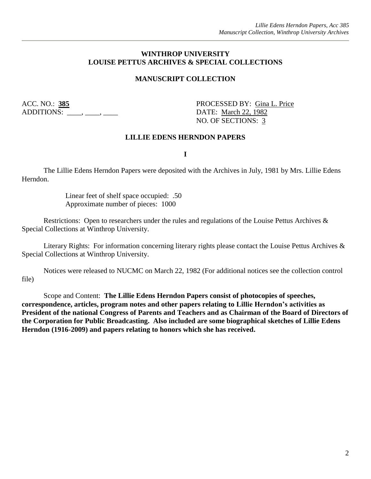#### **WINTHROP UNIVERSITY LOUISE PETTUS ARCHIVES & SPECIAL COLLECTIONS**

#### **MANUSCRIPT COLLECTION**

ADDITIONS: \_\_\_\_, \_\_\_, \_\_\_\_, \_\_\_\_\_ DATE: March 22, 1982

ACC. NO.: **385** PROCESSED BY: Gina L. Price NO. OF SECTIONS: 3

#### **LILLIE EDENS HERNDON PAPERS**

**I**

The Lillie Edens Herndon Papers were deposited with the Archives in July, 1981 by Mrs. Lillie Edens Herndon.

> Linear feet of shelf space occupied: .50 Approximate number of pieces: 1000

Restrictions: Open to researchers under the rules and regulations of the Louise Pettus Archives & Special Collections at Winthrop University.

Literary Rights: For information concerning literary rights please contact the Louise Pettus Archives & Special Collections at Winthrop University.

Notices were released to NUCMC on March 22, 1982 (For additional notices see the collection control file)

Scope and Content: **The Lillie Edens Herndon Papers consist of photocopies of speeches, correspondence, articles, program notes and other papers relating to Lillie Herndon's activities as President of the national Congress of Parents and Teachers and as Chairman of the Board of Directors of the Corporation for Public Broadcasting. Also included are some biographical sketches of Lillie Edens Herndon (1916-2009) and papers relating to honors which she has received.**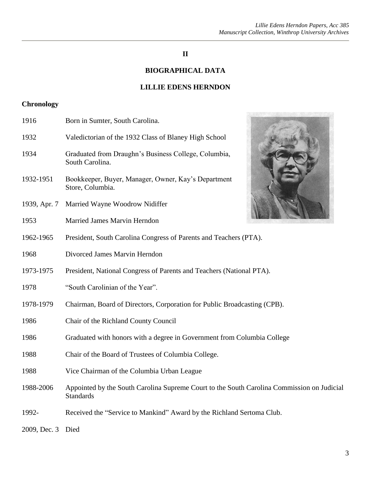### **II**

### **BIOGRAPHICAL DATA**

#### **LILLIE EDENS HERNDON**

### **Chronology**

| 1916              | Born in Sumter, South Carolina.                                                                                |  |  |
|-------------------|----------------------------------------------------------------------------------------------------------------|--|--|
| 1932              | Valedictorian of the 1932 Class of Blaney High School                                                          |  |  |
| 1934              | Graduated from Draughn's Business College, Columbia,<br>South Carolina.                                        |  |  |
| 1932-1951         | Bookkeeper, Buyer, Manager, Owner, Kay's Department<br>Store, Columbia.                                        |  |  |
| 1939, Apr. 7      | Married Wayne Woodrow Nidiffer                                                                                 |  |  |
| 1953              | <b>Married James Marvin Herndon</b>                                                                            |  |  |
| 1962-1965         | President, South Carolina Congress of Parents and Teachers (PTA).                                              |  |  |
| 1968              | Divorced James Marvin Herndon                                                                                  |  |  |
| 1973-1975         | President, National Congress of Parents and Teachers (National PTA).                                           |  |  |
| 1978              | "South Carolinian of the Year".                                                                                |  |  |
| 1978-1979         | Chairman, Board of Directors, Corporation for Public Broadcasting (CPB).                                       |  |  |
| 1986              | Chair of the Richland County Council                                                                           |  |  |
| 1986              | Graduated with honors with a degree in Government from Columbia College                                        |  |  |
| 1988              | Chair of the Board of Trustees of Columbia College.                                                            |  |  |
| 1988              | Vice Chairman of the Columbia Urban League                                                                     |  |  |
| 1988-2006         | Appointed by the South Carolina Supreme Court to the South Carolina Commission on Judicial<br><b>Standards</b> |  |  |
| 1992-             | Received the "Service to Mankind" Award by the Richland Sertoma Club.                                          |  |  |
| 2009, Dec. 3 Died |                                                                                                                |  |  |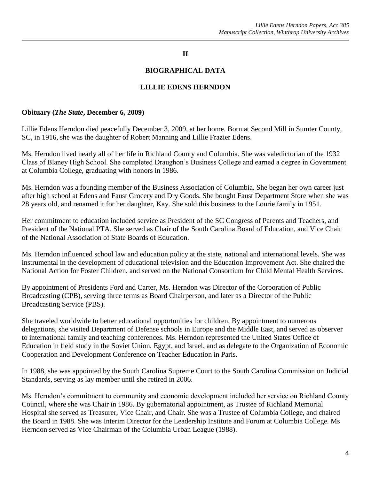#### **II**

#### **BIOGRAPHICAL DATA**

#### **LILLIE EDENS HERNDON**

#### **Obituary (***The State***, December 6, 2009)**

Lillie Edens Herndon died peacefully December 3, 2009, at her home. Born at Second Mill in Sumter County, SC, in 1916, she was the daughter of Robert Manning and Lillie Frazier Edens.

Ms. Herndon lived nearly all of her life in Richland County and Columbia. She was valedictorian of the 1932 Class of Blaney High School. She completed Draughon's Business College and earned a degree in Government at Columbia College, graduating with honors in 1986.

Ms. Herndon was a founding member of the Business Association of Columbia. She began her own career just after high school at Edens and Faust Grocery and Dry Goods. She bought Faust Department Store when she was 28 years old, and renamed it for her daughter, Kay. She sold this business to the Lourie family in 1951.

Her commitment to education included service as President of the SC Congress of Parents and Teachers, and President of the National PTA. She served as Chair of the South Carolina Board of Education, and Vice Chair of the National Association of State Boards of Education.

Ms. Herndon influenced school law and education policy at the state, national and international levels. She was instrumental in the development of educational television and the Education Improvement Act. She chaired the National Action for Foster Children, and served on the National Consortium for Child Mental Health Services.

By appointment of Presidents Ford and Carter, Ms. Herndon was Director of the Corporation of Public Broadcasting (CPB), serving three terms as Board Chairperson, and later as a Director of the Public Broadcasting Service (PBS).

She traveled worldwide to better educational opportunities for children. By appointment to numerous delegations, she visited Department of Defense schools in Europe and the Middle East, and served as observer to international family and teaching conferences. Ms. Herndon represented the United States Office of Education in field study in the Soviet Union, Egypt, and Israel, and as delegate to the Organization of Economic Cooperation and Development Conference on Teacher Education in Paris.

In 1988, she was appointed by the South Carolina Supreme Court to the South Carolina Commission on Judicial Standards, serving as lay member until she retired in 2006.

Ms. Herndon's commitment to community and economic development included her service on Richland County Council, where she was Chair in 1986. By gubernatorial appointment, as Trustee of Richland Memorial Hospital she served as Treasurer, Vice Chair, and Chair. She was a Trustee of Columbia College, and chaired the Board in 1988. She was Interim Director for the Leadership Institute and Forum at Columbia College. Ms Herndon served as Vice Chairman of the Columbia Urban League (1988).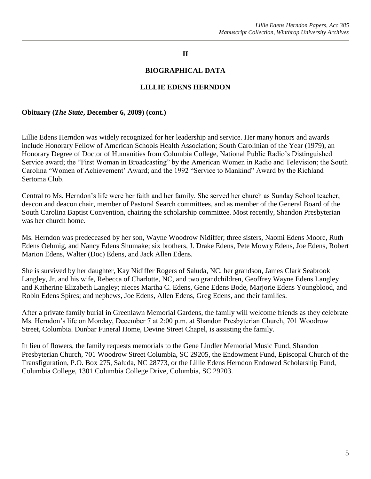#### **II**

#### **BIOGRAPHICAL DATA**

#### **LILLIE EDENS HERNDON**

#### **Obituary (***The State***, December 6, 2009) (cont.)**

Lillie Edens Herndon was widely recognized for her leadership and service. Her many honors and awards include Honorary Fellow of American Schools Health Association; South Carolinian of the Year (1979), an Honorary Degree of Doctor of Humanities from Columbia College, National Public Radio's Distinguished Service award; the "First Woman in Broadcasting" by the American Women in Radio and Television; the South Carolina "Women of Achievement' Award; and the 1992 "Service to Mankind" Award by the Richland Sertoma Club.

Central to Ms. Herndon's life were her faith and her family. She served her church as Sunday School teacher, deacon and deacon chair, member of Pastoral Search committees, and as member of the General Board of the South Carolina Baptist Convention, chairing the scholarship committee. Most recently, Shandon Presbyterian was her church home.

Ms. Herndon was predeceased by her son, Wayne Woodrow Nidiffer; three sisters, Naomi Edens Moore, Ruth Edens Oehmig, and Nancy Edens Shumake; six brothers, J. Drake Edens, Pete Mowry Edens, Joe Edens, Robert Marion Edens, Walter (Doc) Edens, and Jack Allen Edens.

She is survived by her daughter, Kay Nidiffer Rogers of Saluda, NC, her grandson, James Clark Seabrook Langley, Jr. and his wife, Rebecca of Charlotte, NC, and two grandchildren, Geoffrey Wayne Edens Langley and Katherine Elizabeth Langley; nieces Martha C. Edens, Gene Edens Bode, Marjorie Edens Youngblood, and Robin Edens Spires; and nephews, Joe Edens, Allen Edens, Greg Edens, and their families.

After a private family burial in Greenlawn Memorial Gardens, the family will welcome friends as they celebrate Ms. Herndon's life on Monday, December 7 at 2:00 p.m. at Shandon Presbyterian Church, 701 Woodrow Street, Columbia. Dunbar Funeral Home, Devine Street Chapel, is assisting the family.

In lieu of flowers, the family requests memorials to the Gene Lindler Memorial Music Fund, Shandon Presbyterian Church, 701 Woodrow Street Columbia, SC 29205, the Endowment Fund, Episcopal Church of the Transfiguration, P.O. Box 275, Saluda, NC 28773, or the Lillie Edens Herndon Endowed Scholarship Fund, Columbia College, 1301 Columbia College Drive, Columbia, SC 29203.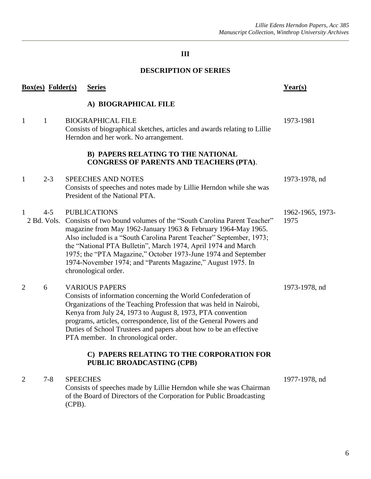### **III**

### **DESCRIPTION OF SERIES**

|                | <b>Box(es)</b> Folder(s) | <b>Series</b>                                                                                                                                                                                                                                                                                                                                                                                                                                                 | $Year(s)$                |
|----------------|--------------------------|---------------------------------------------------------------------------------------------------------------------------------------------------------------------------------------------------------------------------------------------------------------------------------------------------------------------------------------------------------------------------------------------------------------------------------------------------------------|--------------------------|
|                |                          | A) BIOGRAPHICAL FILE                                                                                                                                                                                                                                                                                                                                                                                                                                          |                          |
| $\mathbf{1}$   | $\mathbf{1}$             | <b>BIOGRAPHICAL FILE</b><br>Consists of biographical sketches, articles and awards relating to Lillie<br>Herndon and her work. No arrangement.                                                                                                                                                                                                                                                                                                                | 1973-1981                |
|                |                          | <b>B) PAPERS RELATING TO THE NATIONAL</b><br><b>CONGRESS OF PARENTS AND TEACHERS (PTA).</b>                                                                                                                                                                                                                                                                                                                                                                   |                          |
| $\mathbf{1}$   | $2 - 3$                  | <b>SPEECHES AND NOTES</b><br>Consists of speeches and notes made by Lillie Herndon while she was<br>President of the National PTA.                                                                                                                                                                                                                                                                                                                            | 1973-1978, nd            |
| $\overline{1}$ | $4 - 5$<br>2 Bd. Vols.   | <b>PUBLICATIONS</b><br>Consists of two bound volumes of the "South Carolina Parent Teacher"<br>magazine from May 1962-January 1963 & February 1964-May 1965.<br>Also included is a "South Carolina Parent Teacher" September, 1973;<br>the "National PTA Bulletin", March 1974, April 1974 and March<br>1975; the "PTA Magazine," October 1973-June 1974 and September<br>1974-November 1974; and "Parents Magazine," August 1975. In<br>chronological order. | 1962-1965, 1973-<br>1975 |
| $\overline{2}$ | 6                        | <b>VARIOUS PAPERS</b><br>Consists of information concerning the World Confederation of<br>Organizations of the Teaching Profession that was held in Nairobi,<br>Kenya from July 24, 1973 to August 8, 1973, PTA convention<br>programs, articles, correspondence, list of the General Powers and<br>Duties of School Trustees and papers about how to be an effective<br>PTA member. In chronological order.                                                  | 1973-1978, nd            |
|                |                          | C) PAPERS RELATING TO THE CORPORATION FOR<br><b>PUBLIC BROADCASTING (CPB)</b>                                                                                                                                                                                                                                                                                                                                                                                 |                          |
| $\overline{2}$ | $7 - 8$                  | <b>SPEECHES</b><br>Consists of speeches made by Lillie Herndon while she was Chairman<br>of the Board of Directors of the Corporation for Public Broadcasting<br>$(CPB)$ .                                                                                                                                                                                                                                                                                    | 1977-1978, nd            |